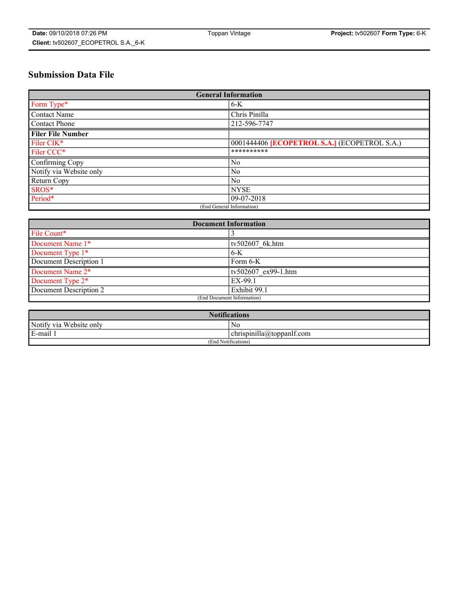# **Submission Data File**

| <b>General Information</b> |                                              |
|----------------------------|----------------------------------------------|
| Form Type*                 | $6-K$                                        |
| Contact Name               | Chris Pinilla                                |
| Contact Phone              | 212-596-7747                                 |
| <b>Filer File Number</b>   |                                              |
| Filer CIK*                 | 0001444406 [ECOPETROL S.A.] (ECOPETROL S.A.) |
| Filer CCC*                 | **********                                   |
| Confirming Copy            | N <sub>0</sub>                               |
| Notify via Website only    | N <sub>0</sub>                               |
| Return Copy                | No                                           |
| SROS*                      | <b>NYSE</b>                                  |
| Period*                    | 09-07-2018                                   |
| (End General Information)  |                                              |

| <b>Document Information</b> |                     |
|-----------------------------|---------------------|
| File Count*                 |                     |
| Document Name 1*            | tv502607 6k.htm     |
| Document Type 1*            | 6-K                 |
| Document Description 1      | $Form 6-K$          |
| Document Name 2*            | tv502607 ex99-1.htm |
| Document Type 2*            | EX-99.1             |
| Document Description 2      | Exhibit 99.1        |
| (End Document Information)  |                     |

| <b>Notifications</b>    |                                        |  |
|-------------------------|----------------------------------------|--|
| Notify via Website only | N0                                     |  |
| E-mail 1                | <br>10<br> chrispinilla(a)toppanIt.com |  |
| (End Notifications)     |                                        |  |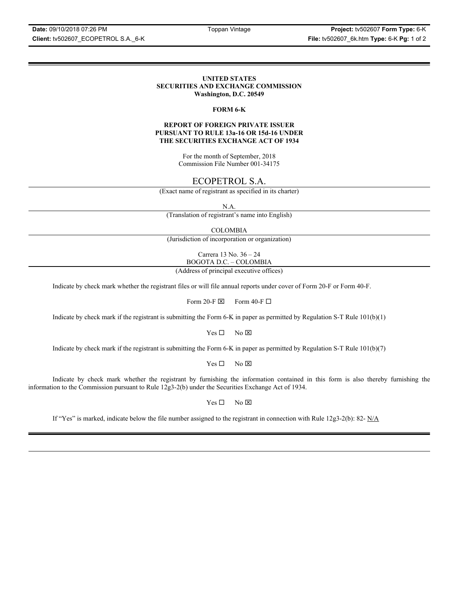#### **UNITED STATES SECURITIES AND EXCHANGE COMMISSION Washington, D.C. 20549**

#### **FORM 6-K**

#### **REPORT OF FOREIGN PRIVATE ISSUER PURSUANT TO RULE 13a-16 OR 15d-16 UNDER THE SECURITIES EXCHANGE ACT OF 1934**

For the month of September, 2018 Commission File Number 001-34175

# ECOPETROL S.A.

(Exact name of registrant as specified in its charter)

N.A.

(Translation of registrant's name into English)

COLOMBIA

(Jurisdiction of incorporation or organization)

Carrera 13 No. 36 – 24 BOGOTA D.C. – COLOMBIA

(Address of principal executive offices)

Indicate by check mark whether the registrant files or will file annual reports under cover of Form 20-F or Form 40-F.

Form 20-F  $\boxtimes$  Form 40-F  $\Box$ 

Indicate by check mark if the registrant is submitting the Form 6-K in paper as permitted by Regulation S-T Rule 101(b)(1)

 $Yes \Box$  No  $\boxtimes$ 

Indicate by check mark if the registrant is submitting the Form 6-K in paper as permitted by Regulation S-T Rule 101(b)(7)

 $Yes \Box$  No  $\boxtimes$ 

Indicate by check mark whether the registrant by furnishing the information contained in this form is also thereby furnishing the information to the Commission pursuant to Rule 12g3-2(b) under the Securities Exchange Act of 1934.

 $Yes \Box$  No  $\boxtimes$ 

If "Yes" is marked, indicate below the file number assigned to the registrant in connection with Rule  $12g3-2(b)$ : 82- N/A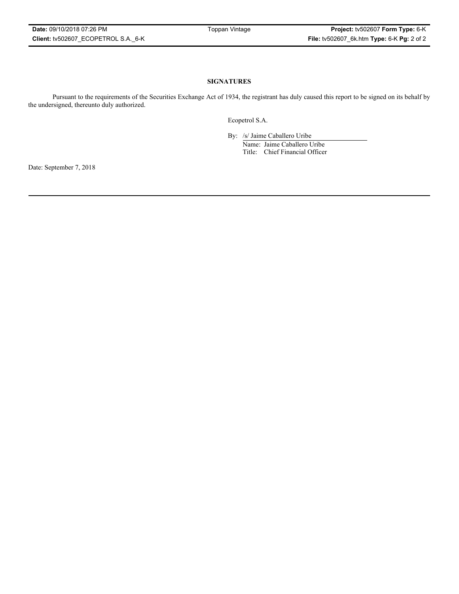#### **SIGNATURES**

Pursuant to the requirements of the Securities Exchange Act of 1934, the registrant has duly caused this report to be signed on its behalf by the undersigned, thereunto duly authorized.

Ecopetrol S.A.

By: /s/ Jaime Caballero Uribe Name: Jaime Caballero Uribe Title: Chief Financial Officer

Date: September 7, 2018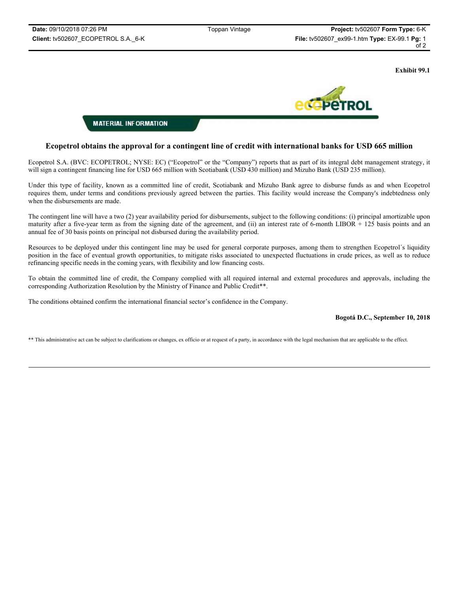**Exhibit 99.1**



# **MATERIAL INFORMATION**

## **Ecopetrol obtains the approval for a contingent line of credit with international banks for USD 665 million**

Ecopetrol S.A. (BVC: ECOPETROL; NYSE: EC) ("Ecopetrol" or the "Company") reports that as part of its integral debt management strategy, it will sign a contingent financing line for USD 665 million with Scotiabank (USD 430 million) and Mizuho Bank (USD 235 million).

Under this type of facility, known as a committed line of credit, Scotiabank and Mizuho Bank agree to disburse funds as and when Ecopetrol requires them, under terms and conditions previously agreed between the parties. This facility would increase the Company's indebtedness only when the disbursements are made.

The contingent line will have a two (2) year availability period for disbursements, subject to the following conditions: (i) principal amortizable upon maturity after a five-year term as from the signing date of the agreement, and (ii) an interest rate of 6-month LIBOR  $+$  125 basis points and an annual fee of 30 basis points on principal not disbursed during the availability period.

Resources to be deployed under this contingent line may be used for general corporate purposes, among them to strengthen Ecopetrol´s liquidity position in the face of eventual growth opportunities, to mitigate risks associated to unexpected fluctuations in crude prices, as well as to reduce refinancing specific needs in the coming years, with flexibility and low financing costs.

To obtain the committed line of credit, the Company complied with all required internal and external procedures and approvals, including the corresponding Authorization Resolution by the Ministry of Finance and Public Credit\*\*.

The conditions obtained confirm the international financial sector's confidence in the Company.

## **Bogotá D.C., September 10, 2018**

\*\* This administrative act can be subject to clarifications or changes, ex officio or at request of a party, in accordance with the legal mechanism that are applicable to the effect.